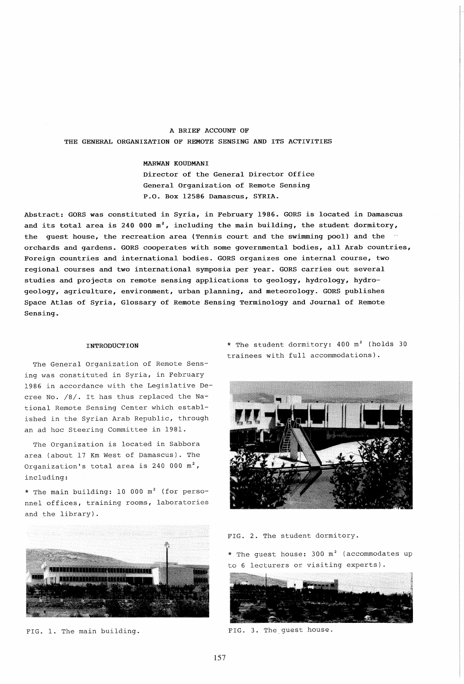# A BRIEF ACCOUNT OF THE GENERAL ORGANIZATION OF REMOTE SENSING AND ITS ACTIVITIES

### MARWAN KOUDMANI

Director of the General Director Office General Organization of Remote Sensing P.O. Box 12586 Damascus, SYRIA.

Abstract: GORS was constituted in Syria, in February 1986. GORS is located in Damascus and its total area is 240 000  $m^2$ , including the main building, the student dormitory, the guest house, the recreation area (Tennis court and the swimming pool) and the orchards and gardens. GORS cooperates with some governmental bodies, all Arab countries, Foreign countries and international bodies. GORS organizes one internal course, two regional courses and two international symposia per year. GORS carries out several studies and projects on remote sensing applications to geology, hydrology, hydrogeology, agriculture, environment, urban planning, and meteorology\_ GORS publishes Space Atlas of Syria, Glossary of Remote Bensing Terminology and Journal of Remote Sensing.

### INTRODUCTION

The General Organization of Remote Sensing was constituted in Syria, in February 1986 in accordance with the Legislative Decree No. /8/. It has thus replaced the National Remote Sensing Center which established in the Syrian Arab Republic, through an ad hoc Steering Committee in 1981.

The Organization is located in Sabbora area (about 17 Km West of Damascus). The Organization's total area is 240 000  $m^2$ , including:

\* The main building: 10 000 m<sup>2</sup> (for personnel offices, training rooms, laboratories and the library).

\* The student dormitory: 400 m<sup>2</sup> (holds 30 trainees with full accommodations).





FIG. 1. The main building.

FIG. 2. The student dormitory.

\* The guest house: 300 m<sup>2</sup> (accommodates up to 6 lecturers or visiting experts).



FIG. 3. The quest house.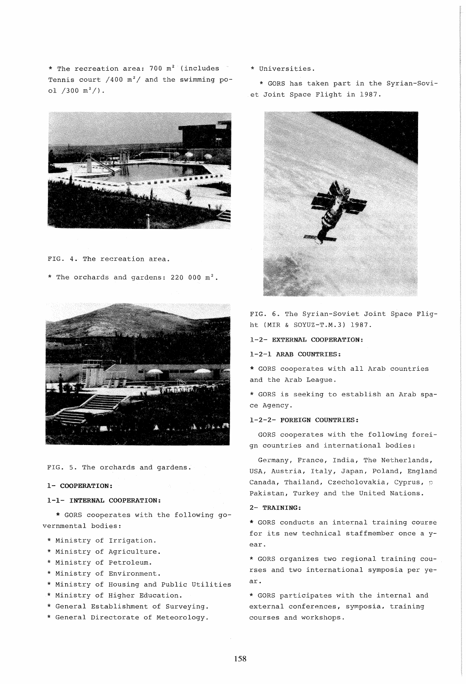\* The recreation area:  $700 \text{ m}^2$  (includes Tennis court /400  $m^2$ / and the swimming pool  $/300 \text{ m}^2/$ .



FIG. 4. The recreation area.

\* The orchards and gardens:  $220000 \text{ m}^2$ .



FIG. 5. The orchards and gardens.

#### 1- COOPERATION:

### 1-1- INTERNAL COOPERATION:

\* GORS cooperates with the following governmental bodies:

- \* Ministry of Irrigation.
- \* Ministry of Agriculture.
- \* Ministry of Petroleum.
- \* Ministry of Environment.
- \* Ministry of Housing and Public Utilities
- \* Ministry of Higher Education.
- \* General Establishment of Surveying.
- \* General Directorate of Meteorology.

\* Universities.

\* GORS has taken part in the Syrian-Soviet Joint Space Flight in 1987.



FIG. 6. The Syrian-Soviet Joint Space Flight (MIR & SOYUZ-T.M.3) 1987.

1-2- EXTERNAL COOPERATION:

## 1-2-1 ARAB COUNTRIES:

\* GORS cooperates with all Arab countries and the Arab League.

\* GORS is seeking to establish an Arab space Agency.

### 1-2-2- FOREIGN COUNTRIES:

GORS cooperates with the following foreign countries and international bodies:

Germany, France, India, The Netherlands, USA, Austria, Italy, Japan, Poland, England Canada, Thailand, Czecholovakia, Cyprus, p Pakistan, Turkey and the United Nations.

### 2- TRAINING:

\* GORS conducts an internal training course for its new technical staffmember once a year.

\* GORS organizes two regional training courses and two international symposia per year.

\* GORS participates with the internal and external conferences, symposia. training courses and workshops.